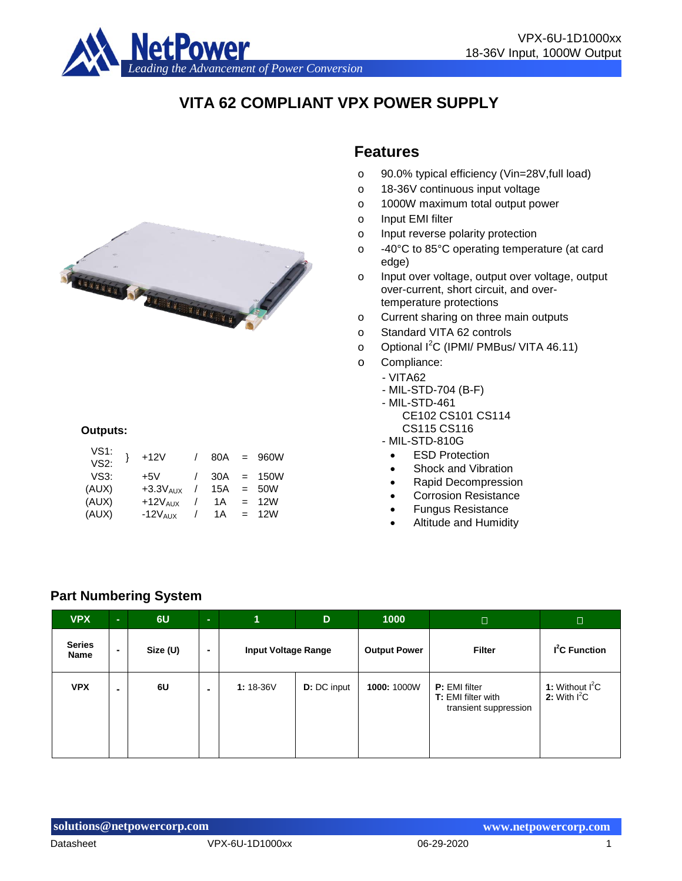

# **VITA 62 COMPLIANT VPX POWER SUPPLY**



#### **Outputs:**

| VS1:<br>VS2: | $+12V$        | 80A | $=$ | 960W |
|--------------|---------------|-----|-----|------|
| VS3:         | $+5V$         | 30A | $=$ | 150W |
| (AUX)        | $+3.3V_{AUX}$ | 15A | $=$ | 50W  |
| (AUX)        | $+12V_{AIX}$  | 1 A | $=$ | 12W  |
| (AUX)        | $-12V$ AUX    | 1 A | $=$ | 12W  |
|              |               |     |     |      |

## **Features**

- o 90.0% typical efficiency (Vin=28V,full load)
- o 18-36V continuous input voltage
- o 1000W maximum total output power
- o Input EMI filter
- o Input reverse polarity protection
- o -40°C to 85°C operating temperature (at card edge)
- o Input over voltage, output over voltage, output over-current, short circuit, and overtemperature protections
- o Current sharing on three main outputs
- o Standard VITA 62 controls
- o Optional I<sup>2</sup>C (IPMI/ PMBus/ VITA 46.11)
- o Compliance:
	- VITA62
		- MIL-STD-704 (B-F)
		- MIL-STD-461
			- CE102 CS101 CS114 CS115 CS116
		- MIL-STD-810G
			- ESD Protection
			- Shock and Vibration
			- Rapid Decompression
			- Corrosion Resistance
			- Fungus Resistance
			- Altitude and Humidity

#### **Part Numbering System**

| <b>VPX</b>            | $\sim$ | 6U       | $\sim$ | 4                          | D                  | 1000                | $\Box$                                                                     | $\Box$                              |
|-----------------------|--------|----------|--------|----------------------------|--------------------|---------------------|----------------------------------------------------------------------------|-------------------------------------|
| <b>Series</b><br>Name |        | Size (U) |        | <b>Input Voltage Range</b> |                    | <b>Output Power</b> | <b>Filter</b>                                                              | $I2C$ Function                      |
| <b>VPX</b>            |        | 6U       |        | $1:18-36V$                 | <b>D:</b> DC input | 1000: 1000W         | <b>P:</b> EMI filter<br><b>T:</b> EMI filter with<br>transient suppression | 1: Without $I^2C$<br>2: With $I^2C$ |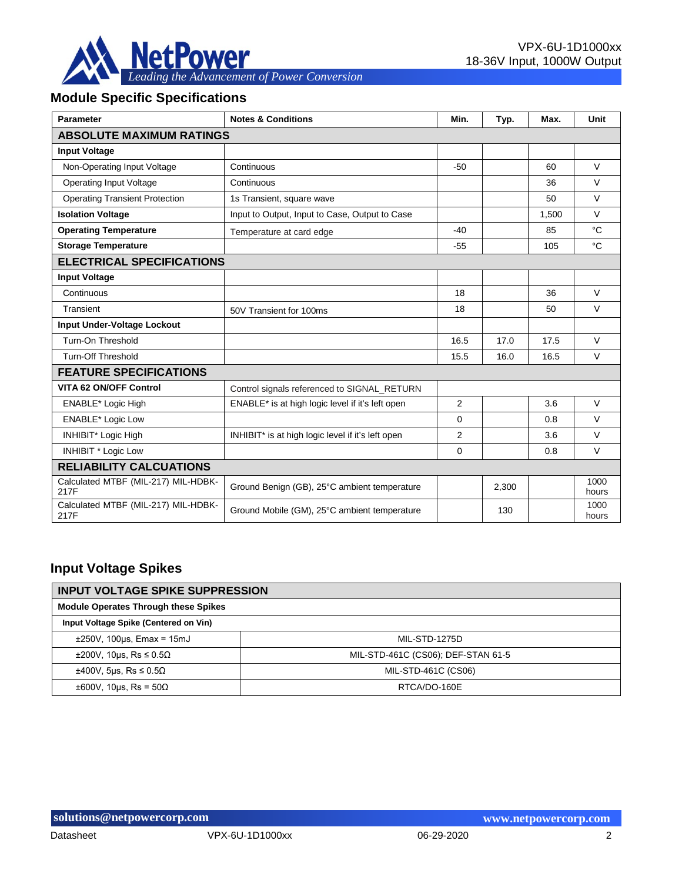

# **Module Specific Specifications**

| <b>Parameter</b>                            | <b>Notes &amp; Conditions</b>                     | Min.           | Typ.  | Max.  | Unit          |
|---------------------------------------------|---------------------------------------------------|----------------|-------|-------|---------------|
| <b>ABSOLUTE MAXIMUM RATINGS</b>             |                                                   |                |       |       |               |
| <b>Input Voltage</b>                        |                                                   |                |       |       |               |
| Non-Operating Input Voltage                 | Continuous                                        | $-50$          |       | 60    | $\vee$        |
| <b>Operating Input Voltage</b>              | Continuous                                        |                |       | 36    | $\vee$        |
| <b>Operating Transient Protection</b>       | 1s Transient, square wave                         |                |       | 50    | $\vee$        |
| <b>Isolation Voltage</b>                    | Input to Output, Input to Case, Output to Case    |                |       | 1,500 | $\vee$        |
| <b>Operating Temperature</b>                | Temperature at card edge                          | $-40$          |       | 85    | °C            |
| <b>Storage Temperature</b>                  |                                                   | $-55$          |       | 105   | $^{\circ}C$   |
| <b>ELECTRICAL SPECIFICATIONS</b>            |                                                   |                |       |       |               |
| <b>Input Voltage</b>                        |                                                   |                |       |       |               |
| Continuous                                  |                                                   | 18             |       | 36    | $\vee$        |
| Transient                                   | 50V Transient for 100ms                           | 18             |       | 50    | $\vee$        |
| Input Under-Voltage Lockout                 |                                                   |                |       |       |               |
| Turn-On Threshold                           |                                                   | 16.5           | 17.0  | 17.5  | $\vee$        |
| <b>Turn-Off Threshold</b>                   |                                                   | 15.5           | 16.0  | 16.5  | $\vee$        |
| <b>FEATURE SPECIFICATIONS</b>               |                                                   |                |       |       |               |
| <b>VITA 62 ON/OFF Control</b>               | Control signals referenced to SIGNAL RETURN       |                |       |       |               |
| ENABLE* Logic High                          | ENABLE* is at high logic level if it's left open  | $\overline{2}$ |       | 3.6   | $\vee$        |
| <b>ENABLE*</b> Logic Low                    |                                                   | $\Omega$       |       | 0.8   | $\vee$        |
| INHIBIT* Logic High                         | INHIBIT* is at high logic level if it's left open | $\overline{2}$ |       | 3.6   | $\vee$        |
| <b>INHIBIT * Logic Low</b>                  |                                                   | 0              |       | 0.8   | $\vee$        |
| <b>RELIABILITY CALCUATIONS</b>              |                                                   |                |       |       |               |
| Calculated MTBF (MIL-217) MIL-HDBK-<br>217F | Ground Benign (GB), 25°C ambient temperature      |                | 2,300 |       | 1000<br>hours |
| Calculated MTBF (MIL-217) MIL-HDBK-<br>217F | Ground Mobile (GM), 25°C ambient temperature      |                | 130   |       | 1000<br>hours |

## **Input Voltage Spikes**

| <b>INPUT VOLTAGE SPIKE SUPPRESSION</b>      |                                    |  |  |  |  |
|---------------------------------------------|------------------------------------|--|--|--|--|
| <b>Module Operates Through these Spikes</b> |                                    |  |  |  |  |
| Input Voltage Spike (Centered on Vin)       |                                    |  |  |  |  |
| $\pm 250V$ , 100 $\mu$ s, Emax = 15mJ       | <b>MIL-STD-1275D</b>               |  |  |  |  |
| $\pm 200$ V, 10us, Rs $\leq 0.5\Omega$      | MIL-STD-461C (CS06); DEF-STAN 61-5 |  |  |  |  |
| $\pm 400V$ , 5µs, Rs $\leq 0.5\Omega$       | MIL-STD-461C (CS06)                |  |  |  |  |
| $\pm 600V$ , 10us, Rs = 50 $\Omega$         | RTCA/DO-160E                       |  |  |  |  |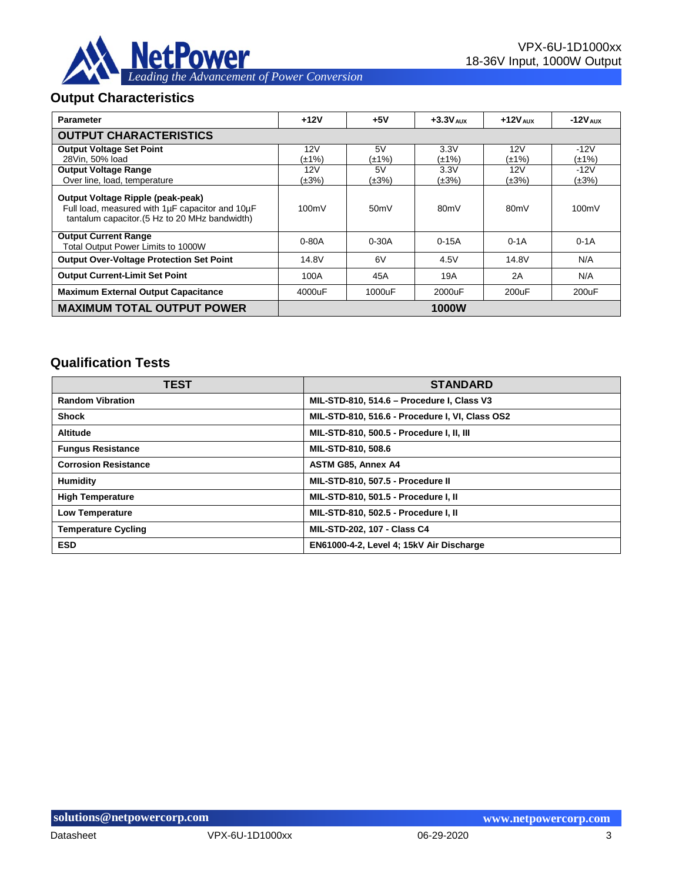

#### **Output Characteristics**

| <b>Parameter</b>                                                                                                                       | $+12V$      | $+5V$     | $+3.3V_{AIIX}$    | $+12V_{AIIX}$     | $-12V_{AUX}$ |
|----------------------------------------------------------------------------------------------------------------------------------------|-------------|-----------|-------------------|-------------------|--------------|
| <b>OUTPUT CHARACTERISTICS</b>                                                                                                          |             |           |                   |                   |              |
| <b>Output Voltage Set Point</b>                                                                                                        | 12V         | 5V        | 3.3V              | 12V               | $-12V$       |
| 28Vin. 50% load                                                                                                                        | (±1%)       | (±1%)     | (±1%)             | (±1%)             | (±1%)        |
| <b>Output Voltage Range</b>                                                                                                            | 12V         | 5V        | 3.3V              | 12V               | $-12V$       |
| Over line, load, temperature                                                                                                           | $(\pm 3\%)$ | (±3%)     | $(\pm 3\%)$       | (±3%)             | $(\pm 3\%)$  |
| Output Voltage Ripple (peak-peak)<br>Full load, measured with 1µF capacitor and 10µF<br>tantalum capacitor. (5 Hz to 20 MHz bandwidth) | 100mV       | 50mV      | 80 <sub>m</sub> V | 80 <sub>m</sub> V | 100mV        |
| <b>Output Current Range</b><br>Total Output Power Limits to 1000W                                                                      | $0 - 80A$   | $0 - 30A$ | $0-15A$           | $0-1A$            | $0-1A$       |
| <b>Output Over-Voltage Protection Set Point</b>                                                                                        | 14.8V       | 6V        | 4.5V              | 14.8V             | N/A          |
| <b>Output Current-Limit Set Point</b>                                                                                                  | 100A        | 45A       | 19A               | 2A                | N/A          |
| <b>Maximum External Output Capacitance</b>                                                                                             | 4000uF      | 1000uF    | 2000uF            | 200uF             | 200uF        |
| <b>MAXIMUM TOTAL OUTPUT POWER</b>                                                                                                      |             |           | 1000W             |                   |              |

## **Qualification Tests**

| <b>TEST</b>                 | <b>STANDARD</b>                                 |
|-----------------------------|-------------------------------------------------|
| <b>Random Vibration</b>     | MIL-STD-810, 514.6 - Procedure I, Class V3      |
| <b>Shock</b>                | MIL-STD-810, 516.6 - Procedure I, VI, Class OS2 |
| <b>Altitude</b>             | MIL-STD-810, 500.5 - Procedure I, II, III       |
| <b>Fungus Resistance</b>    | MIL-STD-810, 508.6                              |
| <b>Corrosion Resistance</b> | <b>ASTM G85, Annex A4</b>                       |
| Humidity                    | MIL-STD-810, 507.5 - Procedure II               |
| <b>High Temperature</b>     | MIL-STD-810, 501.5 - Procedure I, II            |
| <b>Low Temperature</b>      | MIL-STD-810, 502.5 - Procedure I, II            |
| <b>Temperature Cycling</b>  | MIL-STD-202, 107 - Class C4                     |
| <b>ESD</b>                  | EN61000-4-2, Level 4; 15kV Air Discharge        |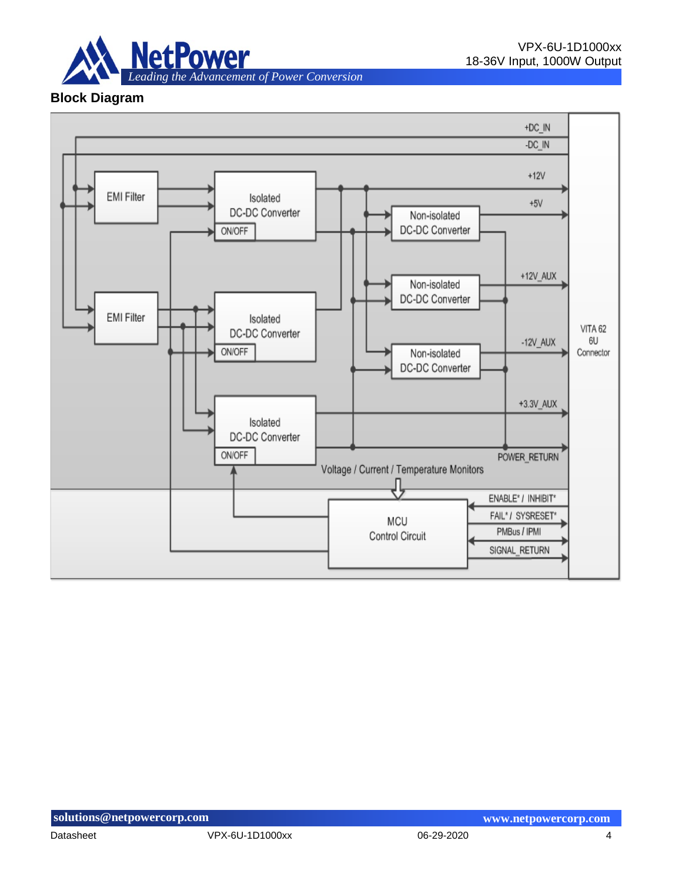

#### **Block Diagram**

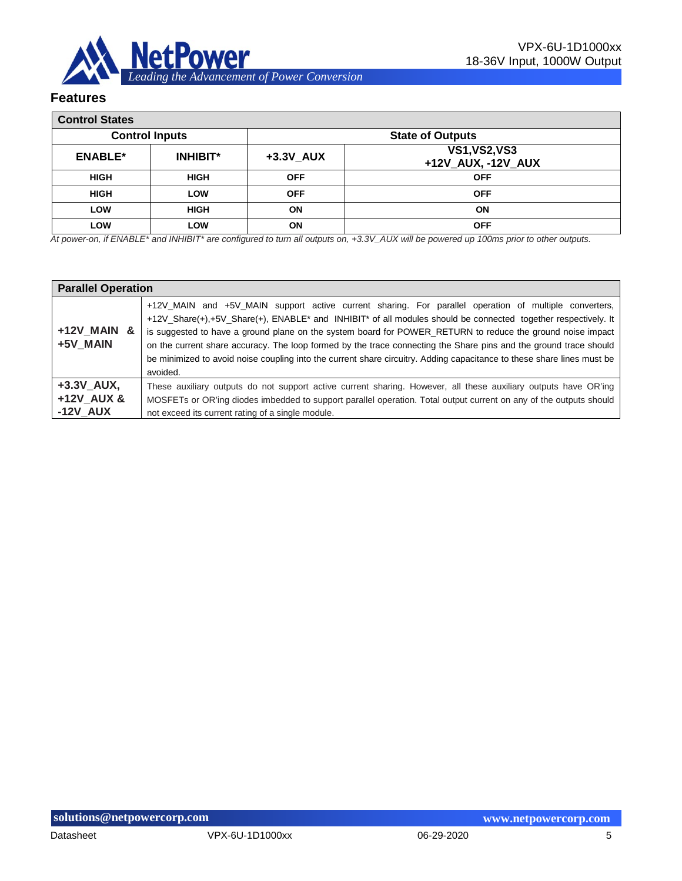

#### **Features**

| <b>Control States</b> |                       |              |                                            |  |  |
|-----------------------|-----------------------|--------------|--------------------------------------------|--|--|
|                       | <b>Control Inputs</b> |              | <b>State of Outputs</b>                    |  |  |
| <b>ENABLE*</b>        | <b>INHIBIT*</b>       | $+3.3V$ _AUX | <b>VS1, VS2, VS3</b><br>+12V_AUX, -12V_AUX |  |  |
| <b>HIGH</b>           | <b>HIGH</b>           | <b>OFF</b>   | <b>OFF</b>                                 |  |  |
| <b>HIGH</b>           | LOW                   | <b>OFF</b>   | <b>OFF</b>                                 |  |  |
| LOW                   | <b>HIGH</b>           | ON           | <b>ON</b>                                  |  |  |
| LOW                   | LOW                   | ON           | <b>OFF</b>                                 |  |  |

*At power-on, if ENABLE\* and INHIBIT\* are configured to turn all outputs on, +3.3V\_AUX will be powered up 100ms prior to other outputs.*

|                                          | <b>Parallel Operation</b>                                                                                                                                                                                                                                                                                                                                                                                                                                                                                                                                                                                               |  |  |  |  |  |  |
|------------------------------------------|-------------------------------------------------------------------------------------------------------------------------------------------------------------------------------------------------------------------------------------------------------------------------------------------------------------------------------------------------------------------------------------------------------------------------------------------------------------------------------------------------------------------------------------------------------------------------------------------------------------------------|--|--|--|--|--|--|
| +12V MAIN &<br>+5V MAIN                  | +12V_MAIN and +5V_MAIN support active current sharing. For parallel operation of multiple converters,<br>+12V Share(+),+5V Share(+), ENABLE <sup>*</sup> and INHIBIT <sup>*</sup> of all modules should be connected together respectively. It<br>is suggested to have a ground plane on the system board for POWER_RETURN to reduce the ground noise impact<br>on the current share accuracy. The loop formed by the trace connecting the Share pins and the ground trace should<br>be minimized to avoid noise coupling into the current share circuitry. Adding capacitance to these share lines must be<br>avoided. |  |  |  |  |  |  |
| $+3.3V$ AUX,<br>+12V AUX &<br>$-12V$ AUX | These auxiliary outputs do not support active current sharing. However, all these auxiliary outputs have OR'ing<br>MOSFETs or OR'ing diodes imbedded to support parallel operation. Total output current on any of the outputs should<br>not exceed its current rating of a single module.                                                                                                                                                                                                                                                                                                                              |  |  |  |  |  |  |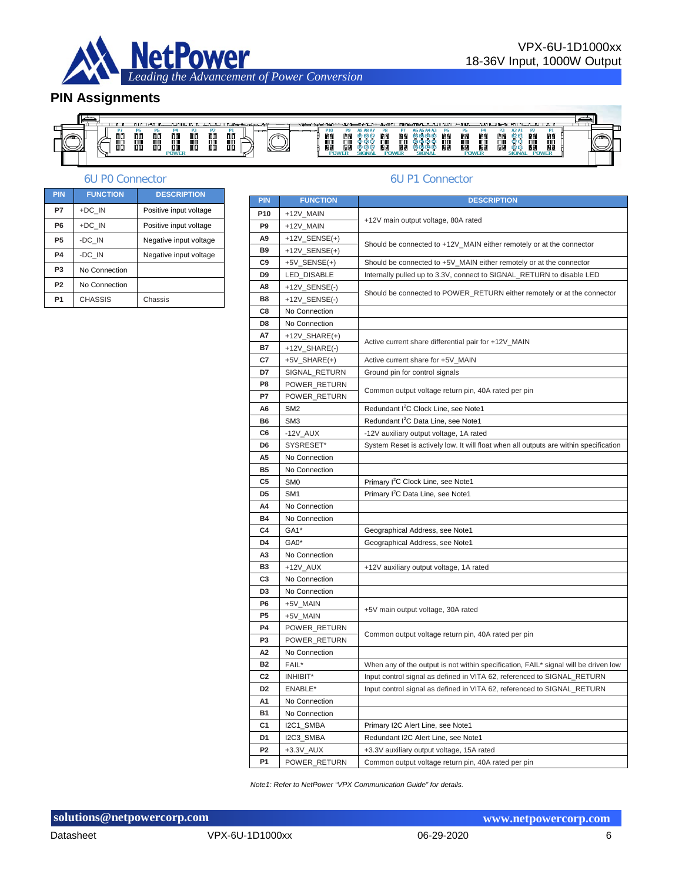

#### **PIN Assignments**



#### 6U P0 Connector 6U P1 Connector

| <b>PIN</b>     | <b>FUNCTION</b> | <b>DESCRIPTION</b>     |
|----------------|-----------------|------------------------|
| P7             | +DC IN          | Positive input voltage |
| P <sub>6</sub> | +DC IN          | Positive input voltage |
| P <sub>5</sub> | -DC IN          | Negative input voltage |
| P4             | -DC IN          | Negative input voltage |
| P <sub>3</sub> | No Connection   |                        |
| P <sub>2</sub> | No Connection   |                        |
| P <sub>1</sub> | <b>CHASSIS</b>  | Chassis                |

| <b>PIN</b>      | <b>FUNCTION</b>     | <b>DESCRIPTION</b>                                                                    |  |  |  |
|-----------------|---------------------|---------------------------------------------------------------------------------------|--|--|--|
| P <sub>10</sub> | +12V_MAIN           |                                                                                       |  |  |  |
| P <sub>9</sub>  | +12V_MAIN           | +12V main output voltage, 80A rated                                                   |  |  |  |
| A9              | $+12V$ _SENSE(+)    |                                                                                       |  |  |  |
| <b>B9</b>       | $+12V$ _SENSE(+)    | Should be connected to +12V_MAIN either remotely or at the connector                  |  |  |  |
| C <sub>9</sub>  | $+5V$ _SENSE(+)     | Should be connected to +5V_MAIN either remotely or at the connector                   |  |  |  |
| D <sub>9</sub>  | LED_DISABLE         | Internally pulled up to 3.3V, connect to SIGNAL_RETURN to disable LED                 |  |  |  |
| A8              | +12V_SENSE(-)       |                                                                                       |  |  |  |
| <b>B8</b>       | +12V_SENSE(-)       | Should be connected to POWER_RETURN either remotely or at the connector               |  |  |  |
| C8              | No Connection       |                                                                                       |  |  |  |
| D <sub>8</sub>  | No Connection       |                                                                                       |  |  |  |
| A7              | $+12V$ _SHARE(+)    |                                                                                       |  |  |  |
| B7              | $+12V$ _SHARE $(-)$ | Active current share differential pair for +12V_MAIN                                  |  |  |  |
| C7              | $+5V$ _SHARE $(+)$  | Active current share for +5V_MAIN                                                     |  |  |  |
| D7              | SIGNAL_RETURN       | Ground pin for control signals                                                        |  |  |  |
| P <sub>8</sub>  | POWER_RETURN        |                                                                                       |  |  |  |
| P7              | POWER_RETURN        | Common output voltage return pin, 40A rated per pin                                   |  |  |  |
| A <sub>6</sub>  | SM <sub>2</sub>     | Redundant I <sup>2</sup> C Clock Line, see Note1                                      |  |  |  |
| B6              | SM <sub>3</sub>     | Redundant I <sup>2</sup> C Data Line, see Note1                                       |  |  |  |
| C6              | $-12V$ $AUX$        | -12V auxiliary output voltage, 1A rated                                               |  |  |  |
| D <sub>6</sub>  | SYSRESET*           | System Reset is actively low. It will float when all outputs are within specification |  |  |  |
| A5              | No Connection       |                                                                                       |  |  |  |
| <b>B5</b>       | No Connection       |                                                                                       |  |  |  |
| C5              | SM <sub>0</sub>     | Primary I <sup>2</sup> C Clock Line, see Note1                                        |  |  |  |
| D <sub>5</sub>  | SM <sub>1</sub>     | Primary I <sup>2</sup> C Data Line, see Note1                                         |  |  |  |
| A4              | No Connection       |                                                                                       |  |  |  |
| <b>B4</b>       | No Connection       |                                                                                       |  |  |  |
| C4              | GA1*                | Geographical Address, see Note1                                                       |  |  |  |
| D <sub>4</sub>  | GA0*                | Geographical Address, see Note1                                                       |  |  |  |
| A3              | No Connection       |                                                                                       |  |  |  |
| <b>B3</b>       | +12V AUX            | +12V auxiliary output voltage, 1A rated                                               |  |  |  |
| C <sub>3</sub>  | No Connection       |                                                                                       |  |  |  |
| D <sub>3</sub>  | No Connection       |                                                                                       |  |  |  |
| P <sub>6</sub>  | +5V_MAIN            | +5V main output voltage, 30A rated                                                    |  |  |  |
| P <sub>5</sub>  | +5V_MAIN            |                                                                                       |  |  |  |
| <b>P4</b>       | POWER RETURN        | Common output voltage return pin, 40A rated per pin                                   |  |  |  |
| P <sub>3</sub>  | POWER_RETURN        |                                                                                       |  |  |  |
| A <sub>2</sub>  | No Connection       |                                                                                       |  |  |  |
| <b>B2</b>       | FAIL*               | When any of the output is not within specification, FAIL* signal will be driven low   |  |  |  |
| C <sub>2</sub>  | INHIBIT*            | Input control signal as defined in VITA 62, referenced to SIGNAL_RETURN               |  |  |  |
| D <sub>2</sub>  | ENABLE*             | Input control signal as defined in VITA 62, referenced to SIGNAL_RETURN               |  |  |  |
| A <sub>1</sub>  | No Connection       |                                                                                       |  |  |  |
| <b>B1</b>       | No Connection       |                                                                                       |  |  |  |
| C <sub>1</sub>  | I2C1_SMBA           | Primary I2C Alert Line, see Note1                                                     |  |  |  |
| D <sub>1</sub>  | I2C3_SMBA           | Redundant I2C Alert Line, see Note1                                                   |  |  |  |
| P <sub>2</sub>  | $+3.3V$ _AUX        | +3.3V auxiliary output voltage, 15A rated                                             |  |  |  |
| <b>P1</b>       | POWER RETURN        | Common output voltage return pin, 40A rated per pin                                   |  |  |  |

*Note1: Refer to NetPower "VPX Communication Guide" for details.*